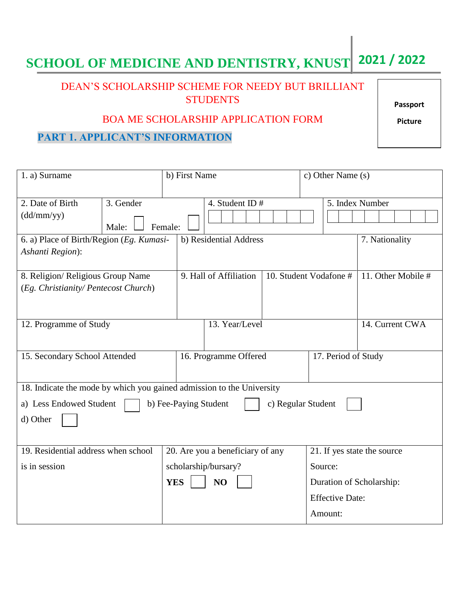# **SCHOOL OF MEDICINE AND DENTISTRY, KNUST 2021 / 2022**

### DEAN'S SCHOLARSHIP SCHEME FOR NEEDY BUT BRILLIANT **STUDENTS**

BOA ME SCHOLARSHIP APPLICATION FORM

# **PART 1. APPLICANT'S INFORMATION**

| 1. a) Surname                                                          |           | b) First Name                    |                                                  |  | c) Other Name (s)           |                        |                 |
|------------------------------------------------------------------------|-----------|----------------------------------|--------------------------------------------------|--|-----------------------------|------------------------|-----------------|
|                                                                        |           |                                  |                                                  |  |                             |                        |                 |
| 2. Date of Birth                                                       | 3. Gender |                                  | 4. Student ID $#$                                |  |                             |                        | 5. Index Number |
| (dd/mm/yy)                                                             |           |                                  |                                                  |  |                             |                        |                 |
|                                                                        | Male:     | Female:                          |                                                  |  |                             |                        |                 |
| 6. a) Place of Birth/Region (Eg. Kumasi-                               |           |                                  | b) Residential Address                           |  |                             | 7. Nationality         |                 |
| Ashanti Region):                                                       |           |                                  |                                                  |  |                             |                        |                 |
|                                                                        |           |                                  |                                                  |  |                             |                        |                 |
| 8. Religion/ Religious Group Name                                      |           |                                  | 10. Student Vodafone #<br>9. Hall of Affiliation |  |                             | 11. Other Mobile #     |                 |
| (Eg. Christianity/ Pentecost Church)                                   |           |                                  |                                                  |  |                             |                        |                 |
|                                                                        |           |                                  |                                                  |  |                             |                        |                 |
|                                                                        |           |                                  |                                                  |  |                             |                        |                 |
| 12. Programme of Study                                                 |           |                                  | 13. Year/Level                                   |  |                             | 14. Current CWA        |                 |
|                                                                        |           |                                  |                                                  |  |                             |                        |                 |
| 15. Secondary School Attended                                          |           | 16. Programme Offered            |                                                  |  | 17. Period of Study         |                        |                 |
|                                                                        |           |                                  |                                                  |  |                             |                        |                 |
|                                                                        |           |                                  |                                                  |  |                             |                        |                 |
| 18. Indicate the mode by which you gained admission to the University  |           |                                  |                                                  |  |                             |                        |                 |
| a) Less Endowed Student<br>b) Fee-Paying Student<br>c) Regular Student |           |                                  |                                                  |  |                             |                        |                 |
| d) Other                                                               |           |                                  |                                                  |  |                             |                        |                 |
|                                                                        |           |                                  |                                                  |  |                             |                        |                 |
|                                                                        |           |                                  |                                                  |  |                             |                        |                 |
| 19. Residential address when school                                    |           | 20. Are you a beneficiary of any |                                                  |  | 21. If yes state the source |                        |                 |
| is in session                                                          |           |                                  | scholarship/bursary?                             |  | Source:                     |                        |                 |
|                                                                        |           | <b>YES</b><br>N <sub>O</sub>     |                                                  |  | Duration of Scholarship:    |                        |                 |
|                                                                        |           |                                  |                                                  |  |                             | <b>Effective Date:</b> |                 |
|                                                                        |           |                                  |                                                  |  |                             | Amount:                |                 |
|                                                                        |           |                                  |                                                  |  |                             |                        |                 |

**Passport**

**Picture**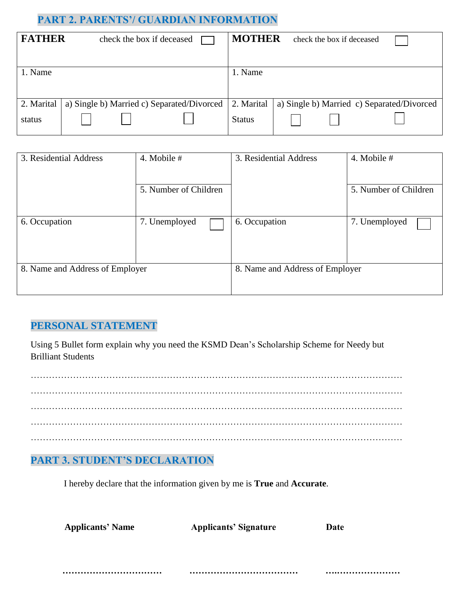#### **PART 2. PARENTS'/ GUARDIAN INFORMATION**

| <b>FATHER</b> | check the box if deceased                  | <b>MOTHER</b> | check the box if deceased                  |
|---------------|--------------------------------------------|---------------|--------------------------------------------|
|               |                                            |               |                                            |
| 1. Name       |                                            | 1. Name       |                                            |
|               |                                            |               |                                            |
|               |                                            |               |                                            |
| 2. Marital    | a) Single b) Married c) Separated/Divorced | 2. Marital    | a) Single b) Married c) Separated/Divorced |
| status        |                                            | <b>Status</b> |                                            |

| 3. Residential Address          | 4. Mobile $#$         | 3. Residential Address          | 4. Mobile #           |
|---------------------------------|-----------------------|---------------------------------|-----------------------|
|                                 | 5. Number of Children |                                 | 5. Number of Children |
| 6. Occupation                   | 7. Unemployed         | 6. Occupation                   | 7. Unemployed         |
| 8. Name and Address of Employer |                       | 8. Name and Address of Employer |                       |

#### **PERSONAL STATEMENT**

Using 5 Bullet form explain why you need the KSMD Dean's Scholarship Scheme for Needy but Brilliant Students

…………………………………………………………………………………………………………… …………………………………………………………………………………………………………… …………………………………………………………………………………………………………… …………………………………………………………………………………………………………… ……………………………………………………………………………………………………………

### **PART 3. STUDENT'S DECLARATION**

I hereby declare that the information given by me is **True** and **Accurate**.

| <b>Applicants' Name</b> | <b>Applicants' Signature</b> | Date |
|-------------------------|------------------------------|------|
|                         |                              |      |

 **…………………………… ……………………………… ….…………………**